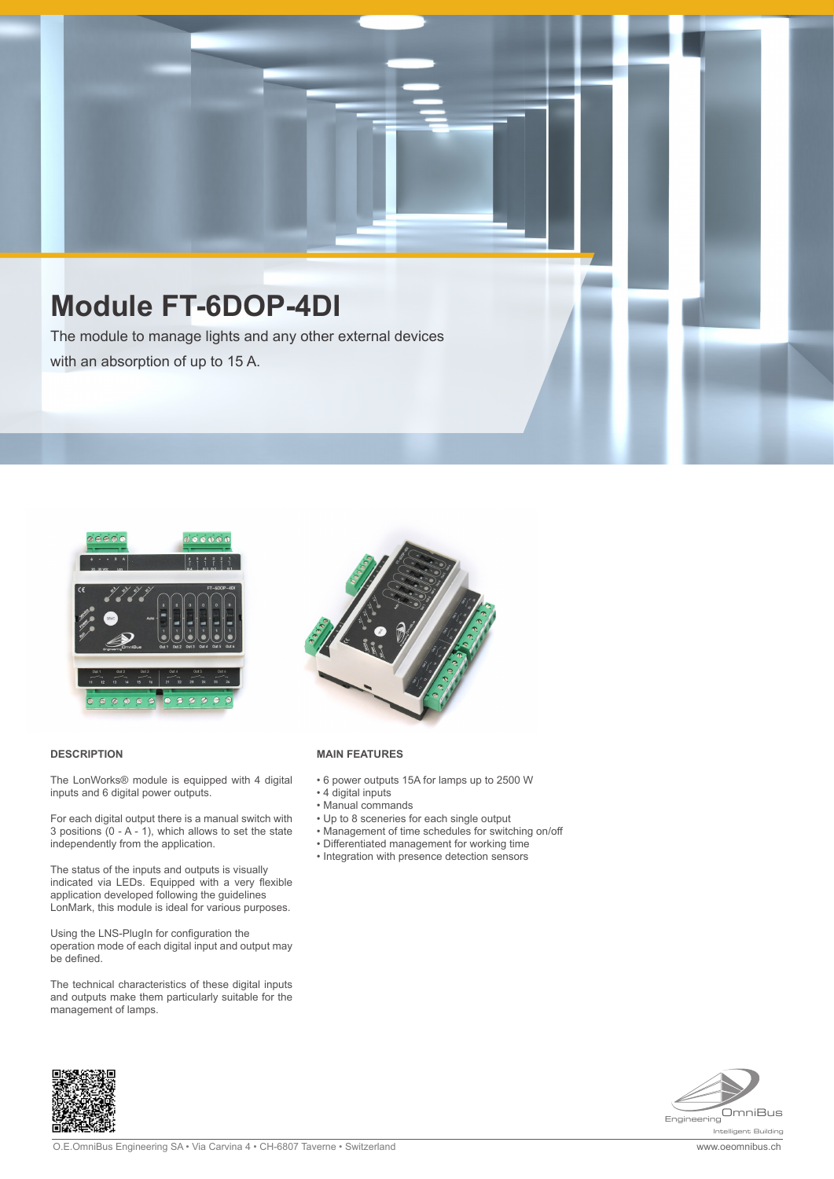# **Module FT-6DOP-4DI**

The module to manage lights and any other external devices with an absorption of up to 15 A.



#### **DESCRIPTION**

The LonWorks® module is equipped with 4 digital inputs and 6 digital power outputs.

For each digital output there is a manual switch with 3 positions (0 - A - 1), which allows to set the state independently from the application.

The status of the inputs and outputs is visually indicated via LEDs. Equipped with a very flexible application developed following the guidelines LonMark, this module is ideal for various purposes.

Using the LNS-PlugIn for configuration the operation mode of each digital input and output may be defined.

The technical characteristics of these digital inputs and outputs make them particularly suitable for the management of lamps.



#### **MAIN FEATURES**

- 6 power outputs 15A for lamps up to 2500 W
- 4 digital inputs
- Manual commands • Up to 8 sceneries for each single output
- Management of time schedules for switching on/off
- Differentiated management for working time
- Integration with presence detection sensors



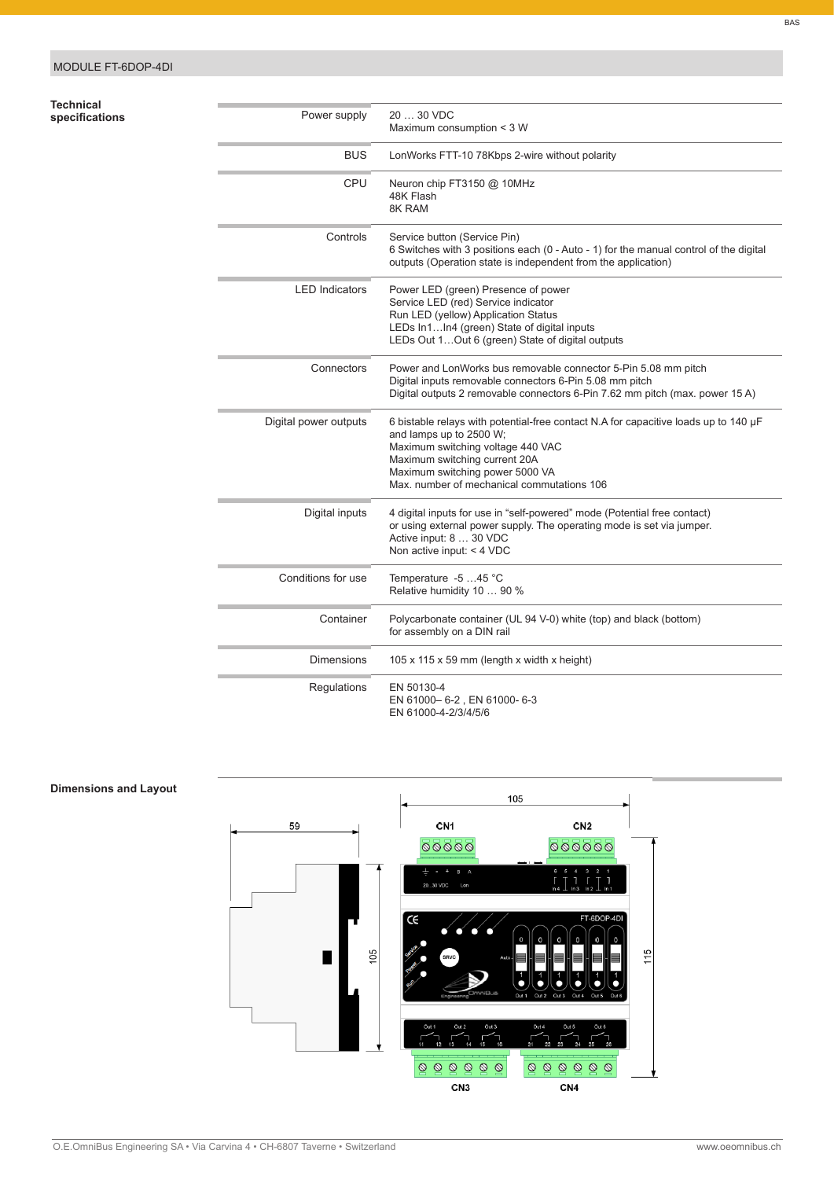| Technical      |  |
|----------------|--|
| specifications |  |

| Technical<br>specifications | Power supply          | 20  30 VDC<br>Maximum consumption < 3 W                                                                                                                                                                                                                               |
|-----------------------------|-----------------------|-----------------------------------------------------------------------------------------------------------------------------------------------------------------------------------------------------------------------------------------------------------------------|
|                             | <b>BUS</b>            | LonWorks FTT-10 78Kbps 2-wire without polarity                                                                                                                                                                                                                        |
|                             | CPU                   | Neuron chip FT3150 @ 10MHz<br>48K Flash<br>8K RAM                                                                                                                                                                                                                     |
|                             | Controls              | Service button (Service Pin)<br>6 Switches with 3 positions each (0 - Auto - 1) for the manual control of the digital<br>outputs (Operation state is independent from the application)                                                                                |
|                             | <b>LED Indicators</b> | Power LED (green) Presence of power<br>Service LED (red) Service indicator<br>Run LED (yellow) Application Status<br>LEDs In1In4 (green) State of digital inputs<br>LEDs Out 1 Out 6 (green) State of digital outputs                                                 |
|                             | Connectors            | Power and LonWorks bus removable connector 5-Pin 5.08 mm pitch<br>Digital inputs removable connectors 6-Pin 5.08 mm pitch<br>Digital outputs 2 removable connectors 6-Pin 7.62 mm pitch (max. power 15 A)                                                             |
|                             | Digital power outputs | 6 bistable relays with potential-free contact N.A for capacitive loads up to 140 µF<br>and lamps up to 2500 W;<br>Maximum switching voltage 440 VAC<br>Maximum switching current 20A<br>Maximum switching power 5000 VA<br>Max, number of mechanical commutations 106 |
|                             | Digital inputs        | 4 digital inputs for use in "self-powered" mode (Potential free contact)<br>or using external power supply. The operating mode is set via jumper.<br>Active input: 8  30 VDC<br>Non active input: $<$ 4 VDC                                                           |
|                             | Conditions for use    | Temperature -5 45 °C<br>Relative humidity 10  90 %                                                                                                                                                                                                                    |
|                             | Container             | Polycarbonate container (UL 94 V-0) white (top) and black (bottom)<br>for assembly on a DIN rail                                                                                                                                                                      |
|                             | <b>Dimensions</b>     | 105 x 115 x 59 mm (length x width x height)                                                                                                                                                                                                                           |
|                             | Regulations           | EN 50130-4<br>EN 61000-6-2, EN 61000-6-3<br>EN 61000-4-2/3/4/5/6                                                                                                                                                                                                      |



# **Dimensions and Layout**

BAS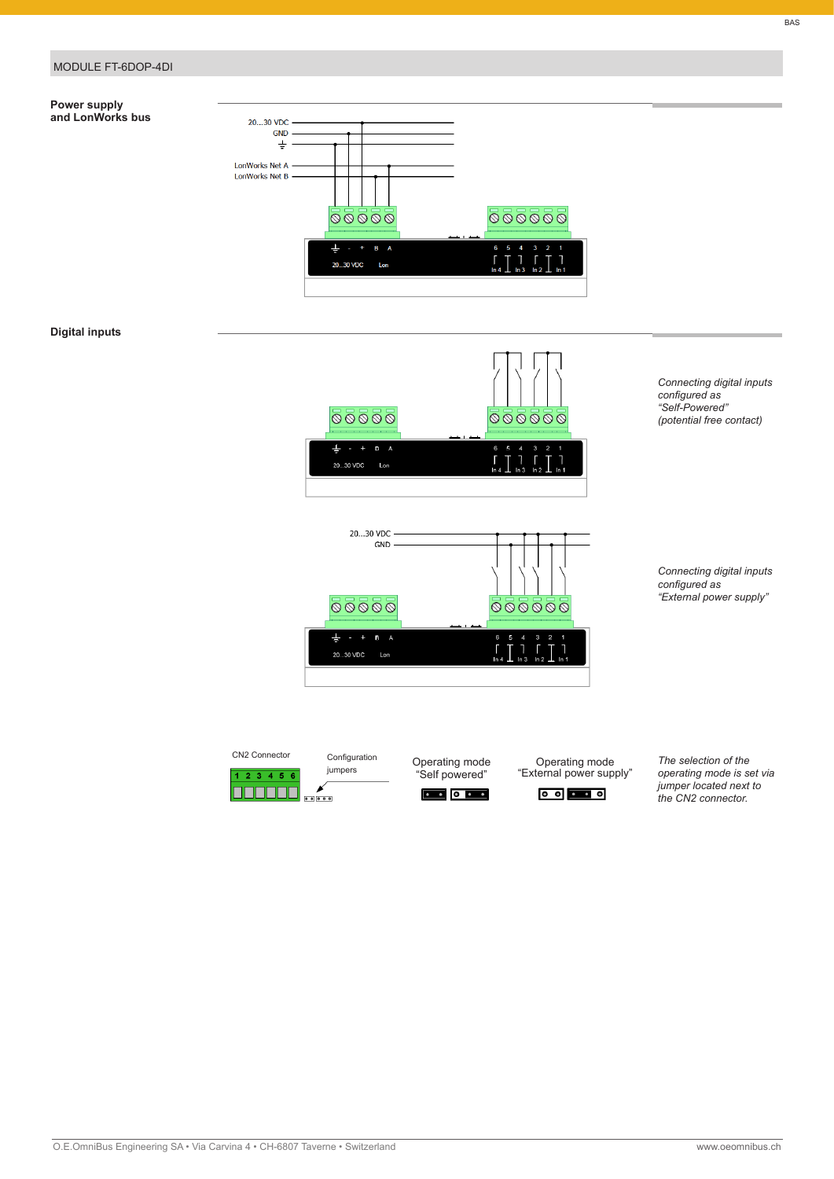### MODULE FT-6DOP-4DI

#### **Power supply and LonWorks bus**



## **Digital inputs**



20  $30 \text{ VDC}$ GND  $\overline{\bigcirc}\,\overline{\bigcirc}\,\overline{\bigcirc}\,\overline{\bigcirc}\,\overline{\bigcirc}\,\overline{\bigcirc}\,\overline{\bigcirc}\,\overline{\bigcirc}\,\overline{\bigcirc}\,\overline{\bigcirc}\,\overline{\bigcirc}\,\overline{\bigcirc}\,\overline{\bigcirc}\,\overline{\bigcirc}\,\overline{\bigcirc}\,\overline{\bigcirc}\,\overline{\bigcirc}\,\overline{\bigcirc}\,\overline{\bigcirc}\,\overline{\bigcirc}\,\overline{\bigcirc}\,\overline{\bigcirc}\,\overline{\bigcirc}\,\overline{\bigcirc}\,\overline{\bigcirc}\,\overline{\bigcirc}\,\overline{\bigcirc}\,\overline{\bigcirc}\,\overline{\bigcirc}\,\overline{\bigcirc}\,\overline{\bigcirc}\,\overline$ H  $\frac{3}{1}$  $\overline{1}$ 20...30 VDC Lon

 *(potential free contact)*

 *Connecting digital inputs configured as*



"Self powered"

<sup>100</sup> Operating mode **Operating mode** The selection of the Operating mode



 *operating mode is set via* "External power supply"  *jumper located next to*  $\int$  *the* CN2 connector.